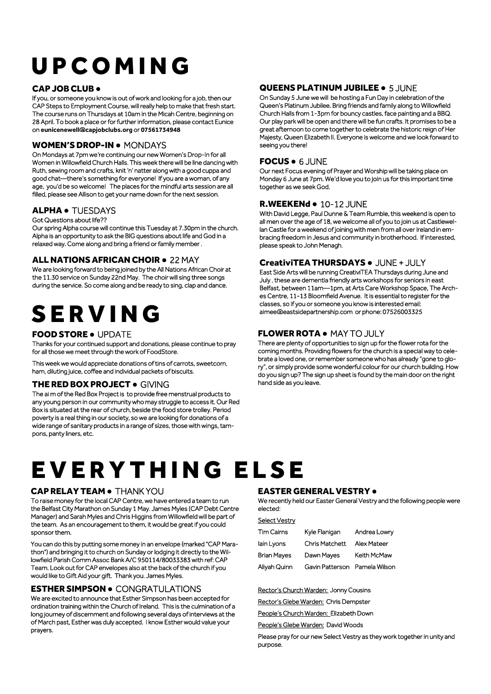# U P C O M I N G

#### CAP JOB CLUB ●

If you, or someone you know is out of work and looking for a job, then our CAP Steps to Employment Course, will really help to make that fresh start. The course runs on Thursdays at 10am in the Micah Centre, beginning on 28 April. To book a place or for further information, please contact Eunice on **eunicenewell@capjobclubs.org** or **07561734948**

#### WOMEN'S DROP-IN ● MONDAYS

On Mondays at 7pm we're continuing our new Women's Drop-In for all Women in Willowfield Church Halls. This week there will be line dancing with Ruth, sewing room and crafts, knit 'n' natter along with a good cuppa and good chat—there's something for everyone! If you are a woman, of any age, you'd be so welcome! The places for the mindful arts session are all filled, please see Allison to get your name down for the next session.

#### ALPHA ● TUESDAYS

Got Questions about life??

Our spring Alpha course will continue this Tuesday at 7.30pm in the church. Alpha is an opportunity to ask the BIG questions about life and God in a relaxed way. Come along and bring a friend or family member .

#### ALL NATIONS AFRICAN CHOIR ● 22 MAY

We are looking forward to being joined by the All Nations African Choir at the 11.30 service on Sunday 22nd May. The choir will sing three songs during the service. So come along and be ready to sing, clap and dance.

## **SERVING**

#### FOOD STORE ● UPDATE

Thanks for your continued support and donations, please continue to pray for all those we meet through the work of FoodStore.

This week we would appreciate donations of tins of carrots, sweetcorn, ham, diluting juice, coffee and individual packets of biscuits.

#### THE RED BOX PROJECT ● GIVING

The ai m of the Red Box Project is to provide free menstrual products to any young person in our community who may struggle to access it. Our Red Box is situated at the rear of church, beside the food store trolley. Period poverty is a real thing in our society, so we are looking for donations of a wide range of sanitary products in a range of sizes, those with wings, tampons, panty liners, etc.

#### **QUEENS PLATINUM JUBILEE . 5 JUNE**

On Sunday 5 June we will be hosting a Fun Day in celebration of the Queen's Platinum Jubilee. Bring friends and family along to Willowfield Church Halls from 1-3pm for bouncy castles, face painting and a BBQ. Our play park will be open and there will be fun crafts. It promises to be a great afternoon to come together to celebrate the historic reign of Her Majesty, Queen Elizabeth II. Everyone is welcome and we look forward to seeing you there!

#### FOCUS ● 6 JUNE

Our next Focus evening of Prayer and Worship will be taking place on Monday 6 June at 7pm. We'd love you to join us for this important time together as we seek God.

#### R.WEEKENd ● 10-12 JUNE

With David Legge, Paul Dunne & Team Rumble, this weekend is open to all men over the age of 18, we welcome all of you to join us at Castlewellan Castle for a weekend of joining with men from all over Ireland in embracing freedom in Jesus and community in brotherhood. If interested, please speak to John Menagh.

#### CreativiTEA THURSDAYS ● JUNE + JULY

East Side Arts will be running CreativiTEA Thursdays during June and July , these are dementia friendly arts workshops for seniors in east Belfast, between 11am—1pm, at Arts Care Workshop Space, The Arches Centre, 11-13 Bloomfield Avenue. It is essential to register for the classes, so if you or someone you know is interested email: aimee@eastsidepartnership.com or phone: 07526003325

#### FLOWER ROTA ● MAY TO JULY

There are plenty of opportunities to sign up for the flower rota for the coming months. Providing flowers for the church is a special way to celebrate a loved one, or remember someone who has already "gone to glory", or simply provide some wonderful colour for our church building. How do you sign up? The sign up sheet is found by the main door on the right hand side as you leave.

### EVERYTHING ELSE

#### CAP RELAY TEAM ● THANK YOU

To raise money for the local CAP Centre, we have entered a team to run the Belfast City Marathon on Sunday 1 May. James Myles (CAP Debt Centre Manager) and Sarah Myles and Chris Higgins from Willowfield will be part of the team. As an encouragement to them, it would be great if you could sponsor them.

You can do this by putting some money in an envelope (marked "CAP Marathon") and bringing it to church on Sunday or lodging it directly to the Willowfield Parish Comm Assoc Bank A/C 950114/80033383 with ref: CAP Team. Look out for CAP envelopes also at the back of the church if you would like to Gift Aid your gift. Thank you. James Myles.

#### ESTHER SIMPSON ● CONGRATULATIONS

We are excited to announce that Esther Simpson has been accepted for ordination training within the Church of Ireland. This is the culmination of a long journey of discernment and following several days of interviews at the of March past, Esther was duly accepted. I know Esther would value your prayers.

#### EASTER GENERAL VESTRY ●

We recently held our Easter General Vestry and the following people were elected:

#### Select Vestry

| Tim Cairns   | Kyle Flanigan                 | Andrea Lowry       |
|--------------|-------------------------------|--------------------|
| lain Lyons   | <b>Chris Matchett</b>         | <b>Alex Mateer</b> |
| Brian Mayes  | Dawn Mayes                    | Keith McMaw        |
| Aliyah Quinn | Gavin Patterson Pamela Wilson |                    |

Rector's Church Warden: Jonny Cousins

Rector's Glebe Warden: Chris Dempster

People's Church Warden: Elizabeth Down

People's Glebe Warden: David Woods

Please pray for our new Select Vestry as they work together in unity and purpose.